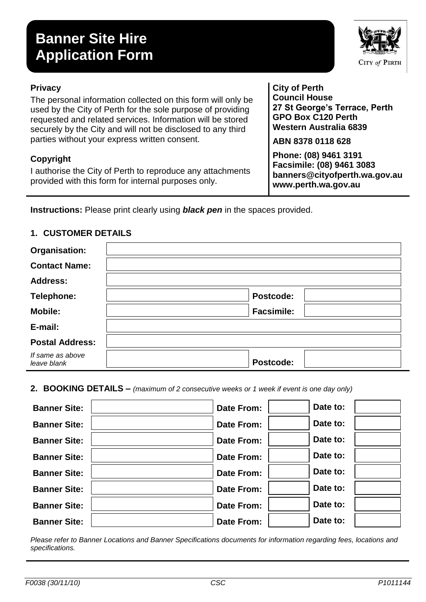# **Banner Site Hire Application Form**

#### **Privacy**

The personal information collected on this form will only be used by the City of Perth for the sole purpose of providing requested and related services. Information will be stored securely by the City and will not be disclosed to any third parties without your express written consent.

### **Copyright**

I authorise the City of Perth to reproduce any attachments provided with this form for internal purposes only.

**Instructions:** Please print clearly using *black pen* in the spaces provided.

## **Organisation: Contact Name: Address:** Telephone: **Postcode: Postcode: Mobile: Facsimile: E-mail: Postal Address:** *If same as above leave blank* **Postcode:**

#### **1. CUSTOMER DETAILS**

**2. BOOKING DETAILS –** *(maximum of 2 consecutive weeks or 1 week if event is one day only)*

| <b>Banner Site:</b> | Date From:        | Date to: |  |
|---------------------|-------------------|----------|--|
| <b>Banner Site:</b> | <b>Date From:</b> | Date to: |  |
| <b>Banner Site:</b> | Date From:        | Date to: |  |
| <b>Banner Site:</b> | <b>Date From:</b> | Date to: |  |
| <b>Banner Site:</b> | Date From:        | Date to: |  |
| <b>Banner Site:</b> | Date From:        | Date to: |  |
| <b>Banner Site:</b> | Date From:        | Date to: |  |
| <b>Banner Site:</b> | <b>Date From:</b> | Date to: |  |

*Please refer to Banner Locations and Banner Specifications documents for information regarding fees, locations and specifications.*



**City of Perth Council House 27 St George's Terrace, Perth GPO Box C120 Perth Western Australia 6839**

**ABN 8378 0118 628**

**Phone: (08) 9461 3191 Facsimile: (08) 9461 3083 banners@cityofperth.wa.gov.au www.perth.wa.gov.au**